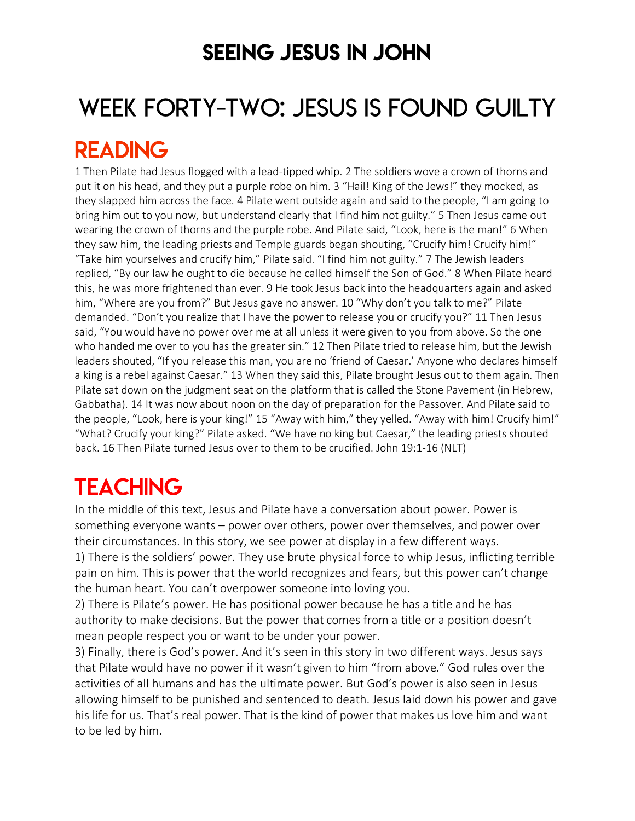### SEEING JESUS IN JOHN

# WEEK FORTY-TWO: JESUS IS FOUND GUILTY READING

1 Then Pilate had Jesus flogged with a lead-tipped whip. 2 The soldiers wove a crown of thorns and put it on his head, and they put a purple robe on him. 3 "Hail! King of the Jews!" they mocked, as they slapped him across the face. 4 Pilate went outside again and said to the people, "I am going to bring him out to you now, but understand clearly that I find him not guilty." 5 Then Jesus came out wearing the crown of thorns and the purple robe. And Pilate said, "Look, here is the man!" 6 When they saw him, the leading priests and Temple guards began shouting, "Crucify him! Crucify him!" "Take him yourselves and crucify him," Pilate said. "I find him not guilty." 7 The Jewish leaders replied, "By our law he ought to die because he called himself the Son of God." 8 When Pilate heard this, he was more frightened than ever. 9 He took Jesus back into the headquarters again and asked him, "Where are you from?" But Jesus gave no answer. 10 "Why don't you talk to me?" Pilate demanded. "Don't you realize that I have the power to release you or crucify you?" 11 Then Jesus said, "You would have no power over me at all unless it were given to you from above. So the one who handed me over to you has the greater sin." 12 Then Pilate tried to release him, but the Jewish leaders shouted, "If you release this man, you are no 'friend of Caesar.' Anyone who declares himself a king is a rebel against Caesar." 13 When they said this, Pilate brought Jesus out to them again. Then Pilate sat down on the judgment seat on the platform that is called the Stone Pavement (in Hebrew, Gabbatha). 14 It was now about noon on the day of preparation for the Passover. And Pilate said to the people, "Look, here is your king!" 15 "Away with him," they yelled. "Away with him! Crucify him!" "What? Crucify your king?" Pilate asked. "We have no king but Caesar," the leading priests shouted back. 16 Then Pilate turned Jesus over to them to be crucified. John 19:1-16 (NLT)

## **TEACHING**

In the middle of this text, Jesus and Pilate have a conversation about power. Power is something everyone wants – power over others, power over themselves, and power over their circumstances. In this story, we see power at display in a few different ways. 1) There is the soldiers' power. They use brute physical force to whip Jesus, inflicting terrible pain on him. This is power that the world recognizes and fears, but this power can't change

the human heart. You can't overpower someone into loving you.

2) There is Pilate's power. He has positional power because he has a title and he has authority to make decisions. But the power that comes from a title or a position doesn't mean people respect you or want to be under your power.

3) Finally, there is God's power. And it's seen in this story in two different ways. Jesus says that Pilate would have no power if it wasn't given to him "from above." God rules over the activities of all humans and has the ultimate power. But God's power is also seen in Jesus allowing himself to be punished and sentenced to death. Jesus laid down his power and gave his life for us. That's real power. That is the kind of power that makes us love him and want to be led by him.